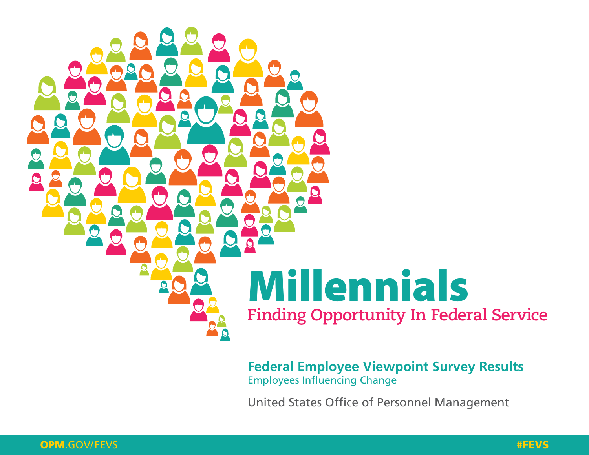

**[Federal Employee Viewpoint Survey Results](http://www.opm.gov/fevs)** Employees Influencing Change

[United States Office of Personnel Management](http://www.opm.gov)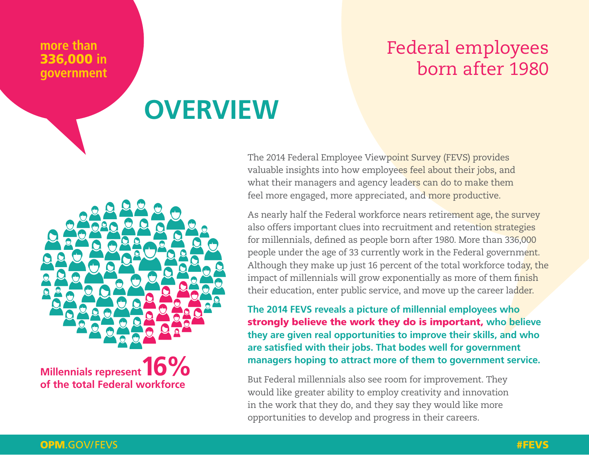#### **more than** 336,000 **in government**

## Federal employees born after 1980

## **OVERVIEW**

The 2014 Federal Employee Viewpoint Survey (FEVS) provides valuable insights into how employees feel about their jobs, and what their managers and agency leaders can do to make them feel more engaged, more appreciated, and more productive.

As nearly half the Federal workforce nears retirement age, the survey also offers important clues into recruitment and retention strategies for millennials, defined as people born after 1980. More than 336,000 people under the age of 33 currently work in the Federal government. Although they make up just 16 percent of the total workforce today, the impact of millennials will grow exponentially as more of them finish their education, enter public service, and move up the career ladder.

**The 2014 FEVS reveals a picture of millennial employees who**  strongly believe the work they do is important, **who believe they are given real opportunities to improve their skills, and who are satisfied with their jobs. That bodes well for government managers hoping to attract more of them to government service.**

opportunities to develop and progress in their careers. But Federal millennials also see room for improvement. They would like greater ability to employ creativity and innovation in the work that they do, and they say they would like more

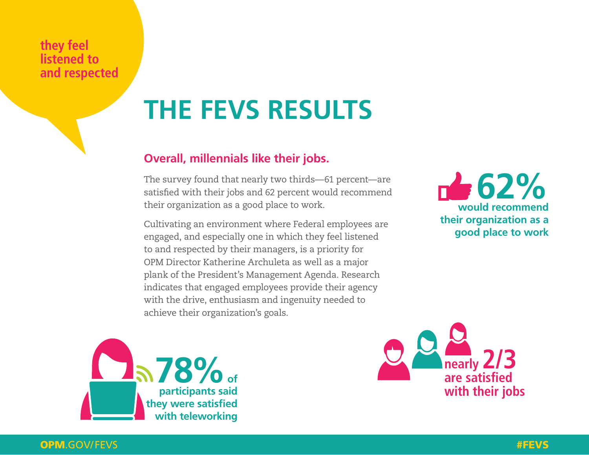#### **they feel listened to and respected**

# **THE FEVS RESULTS**

### **Overall, millennials like their jobs.**

The survey found that nearly two thirds—61 percent—are satisfied with their jobs and 62 percent would recommend their organization as a good place to work.

Cultivating an environment where Federal employees are engaged, and especially one in which they feel listened to and respected by their managers, is a priority for OPM Director Katherine Archuleta as well as a major plank of the President's Management Agenda. Research indicates that engaged employees provide their agency with the drive, enthusiasm and ingenuity needed to achieve their organization's goals.







#### OPM[.GOV/FEVS](http://www.opm.gov/fevs) #FEVS # 2000 A 2000 A 2000 A 2000 A 2000 A 2000 A 2000 A 2000 A 2000 A 2000 A 2000 A 2000 A 2000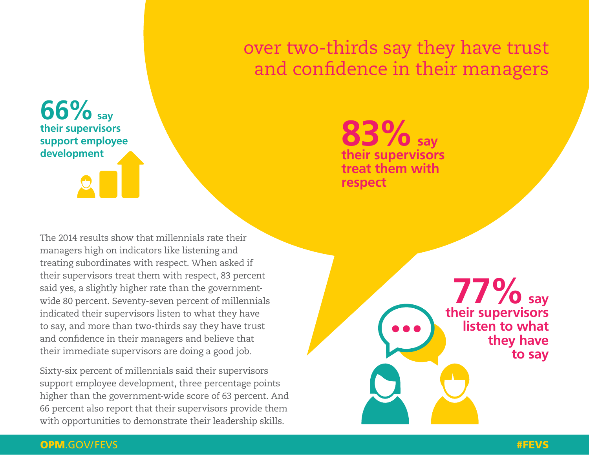## over two-thirds say they have trust and confidence in their managers

**66% say their supervisors support employee development**

The 2014 results show that millennials rate their managers high on indicators like listening and treating subordinates with respect. When asked if their supervisors treat them with respect, 83 percent said yes, a slightly higher rate than the governmentwide 80 percent. Seventy-seven percent of millennials indicated their supervisors listen to what they have to say, and more than two-thirds say they have trust and confidence in their managers and believe that their immediate supervisors are doing a good job.

Sixty-six percent of millennials said their supervisors support employee development, three percentage points higher than the government-wide score of 63 percent. And 66 percent also report that their supervisors provide them with opportunities to demonstrate their leadership skills.

**83% say their supervisors treat them with respect**

> **77% say their supervisors listen to what they have to say**

#### OPM[.GOV/FEVS](http://www.opm.gov/fevs) #FEVS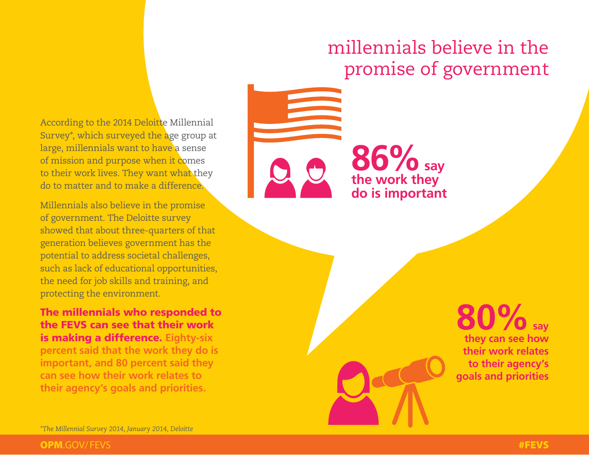## millennials believe in the promise of government

According to the 2014 Deloitte Millennial Survey\*, which surveyed the age group at large, millennials want to have a sense of mission and purpose when it comes to their work lives. They want what they do to matter and to make a difference.

Millennials also believe in the promise of government. The Deloitte survey showed that about three-quarters of that generation believes government has the potential to address societal challenges, such as lack of educational opportunities, the need for job skills and training, and protecting the environment.

The millennials who responded to the FEVS can see that their work is making a difference. **Eighty-six percent said that the work they do is important, and 80 percent said they can see how their work relates to their agency's goals and priorities.**

**86% say the work they do is important**

> **80% say they can see how their work relates to their agency's goals and priorities**

*\*The Millennial Survey 2014, January 2014, Deloitte*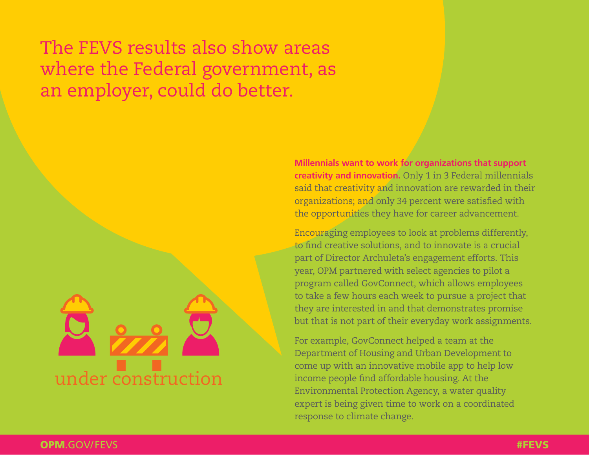The FEVS results also show areas where the Federal government, as an employer, could do better.

![](_page_5_Picture_1.jpeg)

**Millennials want to work for organizations that support creativity and innovation.** Only 1 in 3 Federal millennials said that creativity and innovation are rewarded in their organizations; and only 34 percent were satisfied with the opportunities they have for career advancement.

Encouraging employees to look at problems differently, to find creative solutions, and to innovate is a crucial part of Director Archuleta's engagement efforts. This year, OPM partnered with select agencies to pilot a program called GovConnect, which allows employees to take a few hours each week to pursue a project that they are interested in and that demonstrates promise but that is not part of their everyday work assignments.

For example, GovConnect helped a team at the Department of Housing and Urban Development to come up with an innovative mobile app to help low income people find affordable housing. At the Environmental Protection Agency, a water quality expert is being given time to work on a coordinated response to climate change.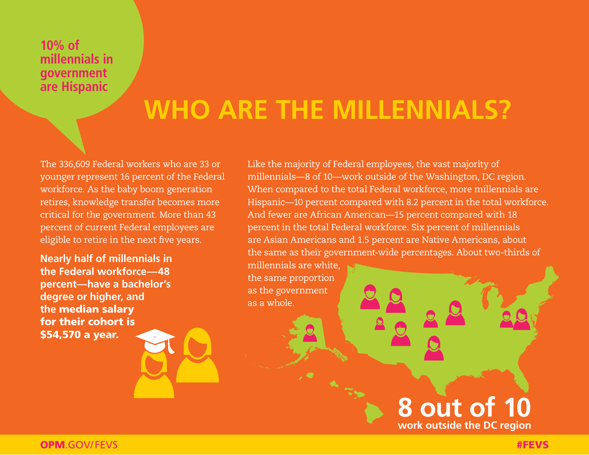#### **10% of millennials in government are Hispanic**

## **WHO ARE THE MILLENNIALS?**

The 336,609 Federal workers who are 33 or younger represent 16 percent of the Federal workforce. As the baby boom generation retires, knowledge transfer becomes more critical for the government. More than 43 percent of current Federal employees are eligible to retire in the next five years.

**Nearly half of millennials in the Federal workforce—48 percent—have a bachelor's degree or higher, and the** median salary for their cohort is \$54,570 a year.

Like the majority of Federal employees, the vast majority of millennials—8 of 10—work outside of the Washington, DC region. When compared to the total Federal workforce, more millennials are Hispanic—10 percent compared with 8.2 percent in the total workforce. And fewer are African American—15 percent compared with 18 percent in the total Federal workforce. Six percent of millennials are Asian Americans and 1.5 percent are Native Americans, about the same as their government-wide percentages. About two-thirds of millennials are white,

the same proportion as the government as a whole.

### **8 out of 10 work outside the DC region**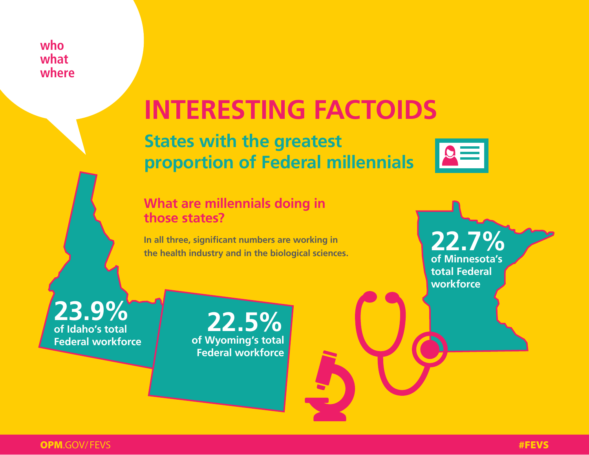#### **who what where**

# **INTERESTING FACTOIDS**

**States with the greatest proportion of Federal millennials**

### **What are millennials doing in those states?**

**In all three, significant numbers are working in the health industry and in the biological sciences.**

**23.9% of Idaho's total** 

**Federal workforce of Wyoming's total 22.5% Federal workforce**

![](_page_7_Picture_7.jpeg)

 $\boxed{\circ}$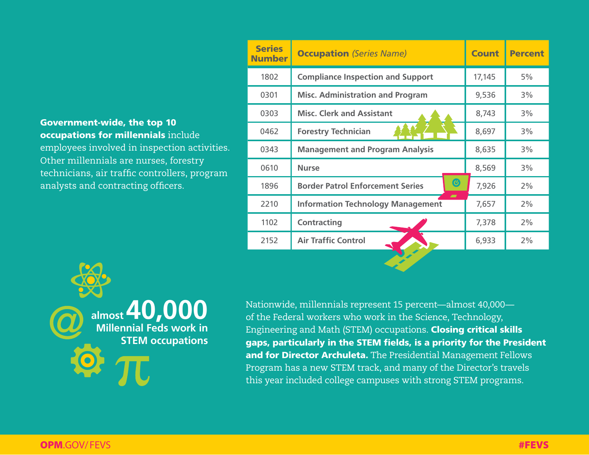#### Government-wide, the top 10 occupations for millennials include

employees involved in inspection activities. Other millennials are nurses, forestry technicians, air traffic controllers, program analysts and contracting officers.

| <b>Series</b><br><b>Number</b> | <b>Occupation</b> (Series Name)                                      | <b>Count</b> | <b>Percent</b> |
|--------------------------------|----------------------------------------------------------------------|--------------|----------------|
| 1802                           | <b>Compliance Inspection and Support</b>                             | 17,145       | 5%             |
| 0301                           | <b>Misc. Administration and Program</b>                              | 9,536        | 3%             |
| 0303                           | <b>Misc. Clerk and Assistant</b>                                     | 8,743        | 3%             |
| 0462                           | <b>Forestry Technician</b>                                           | 8,697        | 3%             |
| 0343                           | <b>Management and Program Analysis</b>                               | 8,635        | 3%             |
| 0610                           | <b>Nurse</b>                                                         | 8,569        | 3%             |
| 1896                           | $\bigcirc$<br><b>Border Patrol Enforcement Series</b>                | 7,926        | 2%             |
| 2210                           | $\overline{\phantom{0}}$<br><b>Information Technology Management</b> | 7,657        | 2%             |
| 1102                           | <b>Contracting</b>                                                   | 7,378        | 2%             |
| 2152                           | <b>Air Traffic Control</b>                                           | 6,933        | 2%             |
|                                |                                                                      |              |                |

![](_page_8_Picture_3.jpeg)

Nationwide, millennials represent 15 percent—almost 40,000 of the Federal workers who work in the Science, Technology, Engineering and Math (STEM) occupations. Closing critical skills gaps, particularly in the STEM fields, is a priority for the President and for Director Archuleta. The Presidential Management Fellows Program has a new STEM track, and many of the Director's travels this year included college campuses with strong STEM programs.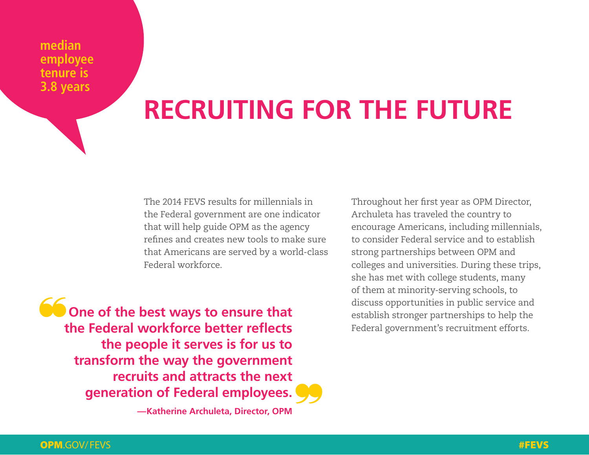**median employee tenure is 3.8 years**

# **RECRUITING FOR THE FUTURE**

The 2014 FEVS results for millennials in the Federal government are one indicator that will help guide OPM as the agency refines and creates new tools to make sure that Americans are served by a world-class Federal workforce.

**CODE ONE OF the best ways to ensure that the Federal workforce better reflects the people it serves is for us to transform the way the government recruits and attracts the next generation of Federal employees.**

**—Katherine Archuleta, Director, OPM**

Throughout her first year as OPM Director, Archuleta has traveled the country to encourage Americans, including millennials, to consider Federal service and to establish strong partnerships between OPM and colleges and universities. During these trips, she has met with college students, many of them at minority-serving schools, to discuss opportunities in public service and establish stronger partnerships to help the Federal government's recruitment efforts.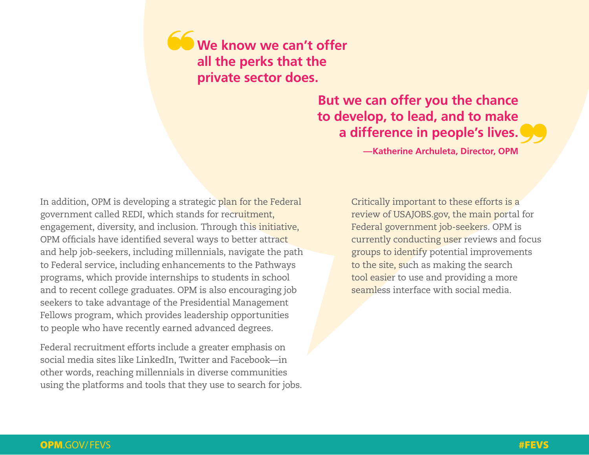**We know we can't offer all the perks that the private sector does.** 

### **But we can offer you the chance to develop, to lead, and to make a difference in people's lives.**

**—Katherine Archuleta, Director, OPM**

In addition, OPM is developing a strategic plan for the Federal government called REDI, which stands for recruitment, engagement, diversity, and inclusion. Through this initiative, OPM officials have identified several ways to better attract and help job-seekers, including millennials, navigate the path to Federal service, including enhancements to the Pathways programs, which provide internships to students in school and to recent college graduates. OPM is also encouraging job seekers to take advantage of the Presidential Management Fellows program, which provides leadership opportunities to people who have recently earned advanced degrees.

Federal recruitment efforts include a greater emphasis on social media sites like LinkedIn, Twitter and Facebook—in other words, reaching millennials in diverse communities using the platforms and tools that they use to search for jobs. Critically important to these efforts is a review of USAJOBS.gov, the main portal for Federal government job-seekers. OPM is currently conducting user reviews and focus groups to identify potential improvements to the site, such as making the search tool easier to use and providing a more seamless interface with social media.